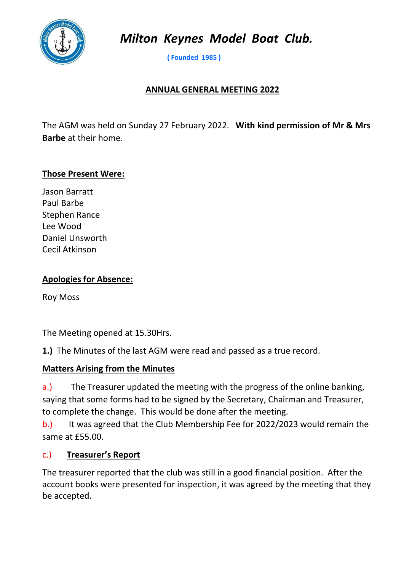

Milton Keynes Model Boat Club.

( Founded 1985 )

### ANNUAL GENERAL MEETING 2022

The AGM was held on Sunday 27 February 2022. With kind permission of Mr & Mrs Barbe at their home.

#### Those Present Were:

Jason Barratt Paul Barbe Stephen Rance Lee Wood Daniel Unsworth Cecil Atkinson

### Apologies for Absence:

Roy Moss

The Meeting opened at 15.30Hrs.

1.) The Minutes of the last AGM were read and passed as a true record.

#### Matters Arising from the Minutes

a.) The Treasurer updated the meeting with the progress of the online banking, saying that some forms had to be signed by the Secretary, Chairman and Treasurer, to complete the change. This would be done after the meeting.

b.) It was agreed that the Club Membership Fee for 2022/2023 would remain the same at £55.00.

#### c.) Treasurer's Report

The treasurer reported that the club was still in a good financial position. After the account books were presented for inspection, it was agreed by the meeting that they be accepted.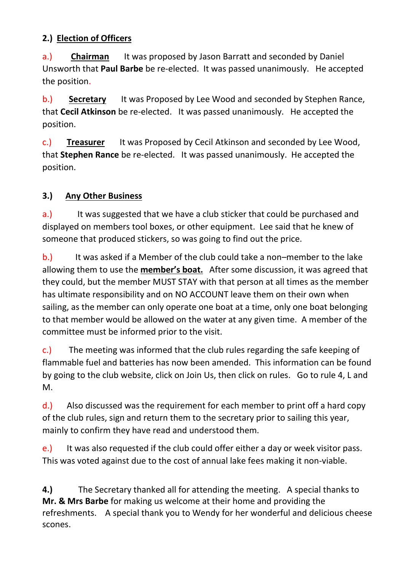# 2.) Election of Officers

a.) Chairman It was proposed by Jason Barratt and seconded by Daniel Unsworth that Paul Barbe be re-elected. It was passed unanimously. He accepted the position.

b.) Secretary It was Proposed by Lee Wood and seconded by Stephen Rance, that Cecil Atkinson be re-elected. It was passed unanimously. He accepted the position.

c.) Treasurer It was Proposed by Cecil Atkinson and seconded by Lee Wood, that Stephen Rance be re-elected. It was passed unanimously. He accepted the position.

## 3.) Any Other Business

a.) It was suggested that we have a club sticker that could be purchased and displayed on members tool boxes, or other equipment. Lee said that he knew of someone that produced stickers, so was going to find out the price.

b.) It was asked if a Member of the club could take a non–member to the lake allowing them to use the **member's boat.** After some discussion, it was agreed that they could, but the member MUST STAY with that person at all times as the member has ultimate responsibility and on NO ACCOUNT leave them on their own when sailing, as the member can only operate one boat at a time, only one boat belonging to that member would be allowed on the water at any given time. A member of the committee must be informed prior to the visit.

c.) The meeting was informed that the club rules regarding the safe keeping of flammable fuel and batteries has now been amended. This information can be found by going to the club website, click on Join Us, then click on rules. Go to rule 4, L and M.

d.) Also discussed was the requirement for each member to print off a hard copy of the club rules, sign and return them to the secretary prior to sailing this year, mainly to confirm they have read and understood them.

e.) It was also requested if the club could offer either a day or week visitor pass. This was voted against due to the cost of annual lake fees making it non-viable.

4.) The Secretary thanked all for attending the meeting. A special thanks to Mr. & Mrs Barbe for making us welcome at their home and providing the refreshments. A special thank you to Wendy for her wonderful and delicious cheese scones.